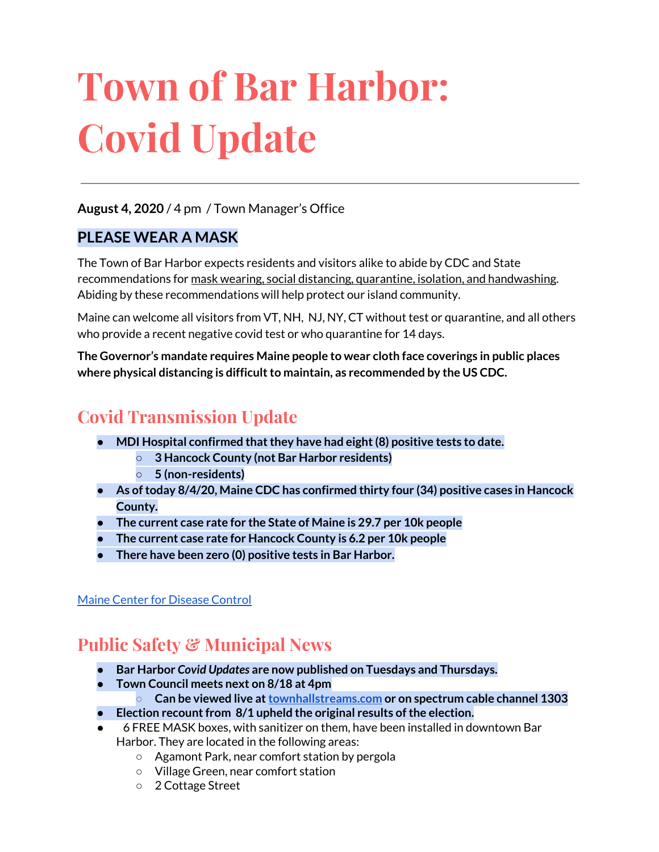# **Town of Bar Harbor: Covid Update**

#### **August 4, 2020** / 4 pm / Town Manager's Office

#### **PLEASE WEAR A MASK**

The Town of Bar Harbor expects residents and visitors alike to abide by CDC and State recommendations for mask wearing, social distancing, quarantine, isolation, and handwashing. Abiding by these recommendations will help protect our island community.

Maine can welcome all visitors from VT, NH, NJ, NY, CT without test or quarantine, and all others who provide a recent negative covid test or who quarantine for 14 days.

**The Governor's mandate requires Maine people to wear cloth face coverings in public places where physical distancing is difficultto maintain, as recommended by the US CDC.**

# **Covid Transmission Update**

- **● MDI Hospital confirmed thatthey have had eight(8) positive tests to date.**
	- **○ 3 Hancock County (not Bar Harbor residents)**
	- **○ 5 (non-residents)**
- **● As oftoday 8/4/20, Maine CDC has confirmed thirty four (34) positive cases in Hancock County.**
- **● The current case rate for the State of Maine is 29.7 per 10k people**
- **● The current case rate for Hancock County is 6.2 per 10k people**
- **There have been zero (0) positive tests in Bar Harbor.**

Maine Center for [Disease](https://www.maine.gov/dhhs/mecdc/infectious-disease/epi/airborne/coronavirus.shtml) Control

# **Public Safety & Municipal News**

- **● Bar Harbor** *Covid Updates* **are now published on Tuesdays and Thursdays.**
- **● Town Council meets next on 8/18 at 4pm**
	- **○ Can be viewed live at[townhallstreams.com](https://townhallstreams.com/) or on spectrum cable channel 1303**
- **● Election recountfrom 8/1 upheld the original results ofthe election.**
- **●** 6 FREE MASK boxes, with sanitizer on them, have been installed in downtown Bar Harbor. They are located in the following areas:
	- Agamont Park, near comfort station by pergola
	- Village Green, near comfort station
	- 2 Cottage Street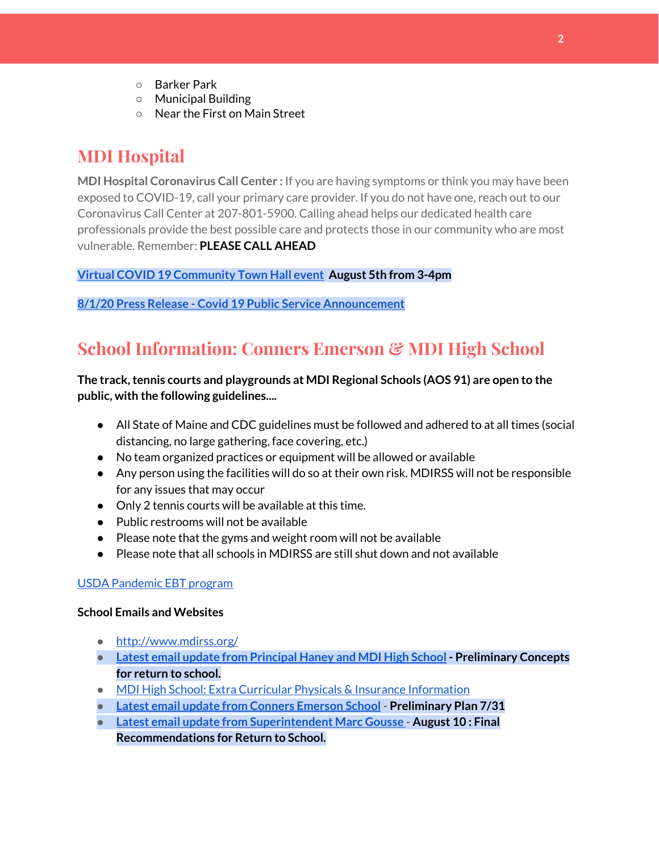- Barker Park
- Municipal Building
- Near the First on Main Street

# **MDI Hospital**

**MDI Hospital Coronavirus Call Center :** If you are having symptoms or think you may have been exposed to COVID-19, call your primary care provider. If you do not have one, reach out to our Coronavirus Call Center at 207-801-5900. Calling ahead helps our dedicated health care professionals provide the best possible care and protects those in our community who are most vulnerable. Remember: **PLEASE CALL AHEAD**

**Virtual COVID 19 [Community](https://www.facebook.com/mdihospital/photos/a.10150443281311626/10156947022871626/) Town Hall event August 5th from 3-4pm**

**8/1/20 Press Release - Covid 19 Public Service [Announcement](https://www.mdihospital.org/news/covid-19-public-service-announcement/)**

# **School Information: Conners Emerson & MDI High School**

**The track,tennis courts and playgrounds at MDI Regional Schools (AOS 91) are open to the public, with the following guidelines....**

- All State of Maine and CDC guidelines must be followed and adhered to at all times (social distancing, no large gathering, face covering, etc.)
- No team organized practices or equipment will be allowed or available
- Any person using the facilities will do so at their own risk. MDIRSS will not be responsible for any issues that may occur
- Only 2 tennis courts will be available at this time.
- Public restrooms will not be available
- Please note that the gyms and weight room will not be available
- Please note that all schools in MDIRSS are still shut down and not available

#### USDA [Pandemic](http://track.spe.schoolmessenger.com/f/a/j6GQx4nFl3Rld4Q68tYCuA~~/AAAAAQA~/RgRgu5_JP0SlaHR0cHM6Ly9tYWlsLmdvb2dsZS5jb20vbWFpbC91LzAvP3RhYj1jbSNzZWFyY2gvZnJvbSUzQStiZWVzbGV5L1doY3RLSlZyQ0NUS1JmUldCTFdkUVpGZ2pUVlhNdkRwUVpIa2NoRkJCc3NGcHJxZEtnWFF3S05Tamt3R1RxTFpaS21wTkRHP3Byb2plY3Rvcj0xJm1lc3NhZ2VQYXJ0SWQ9MC4xVwdzY2hvb2xtQgoARkls2l72Ls-jUhhiYXJoYXJib3JqZXdlbEBnbWFpbC5jb21YBAAAAAE~) EBT program

#### **School Emails and Websites**

- <http://www.mdirss.org/>
- **● Latest email update from [Principal](https://docs.google.com/document/d/1OKDsYNtOgV0FI9xAcXwQvenOKLV0S2vBg1o5jtu5CrE/edit?usp=sharing) Haney and MDI High School - Preliminary Concepts for return to school.**
- MDI High School: Extra Curricular Physicals & Insurance [Information](https://wdea.am/mdihs-extracurricular-activity-physicals-and-insurance-information/?trackback=fbshare_mobile&fbclid=IwAR0wxPd824oG1ATLwkeI9s9n2sdpvEiyxeJGgB_mh2BlEJNT_AXiMynkobs)
- **● Latest email update from Conners [Emerson](https://docs.google.com/document/d/1v3pgkG6Q-9S3gisuUIj4etPVDwgBKl4P00JBkvZr-kk/edit?usp=sharing) School - Preliminary Plan 7/31**
- **● Latest email update from [Superintendent](https://docs.google.com/document/d/1fzeCbc8gpTSKmUaDoQH1Avx5PVl-h0reFphXrT1eUNA/edit?usp=sharing) Marc Gousse - August 10 : Final Recommendations for Return to School.**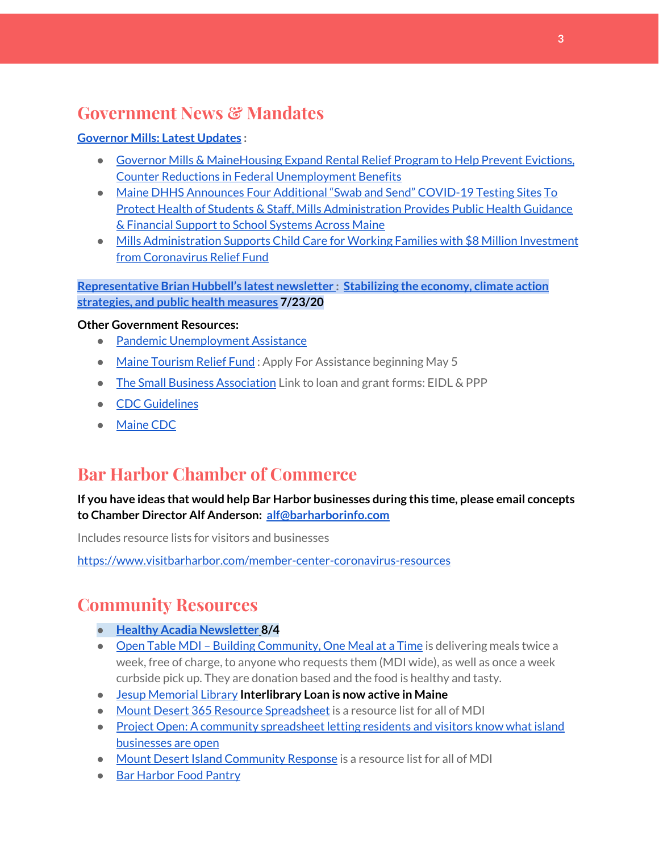## **Government News & Mandates**

#### **[Governor](https://www.maine.gov/governor/mills/) Mills: Latest Updates :**

- Governor Mills & [MaineHousing](https://www.maine.gov/governor/mills/news/governor-mills-mainehousing-expand-rental-relief-program-help-prevent-evictions-counter) Expand Rental Relief Program to Help Prevent Evictions, Counter Reductions in Federal [Unemployment](https://www.maine.gov/governor/mills/news/governor-mills-mainehousing-expand-rental-relief-program-help-prevent-evictions-counter) Benefits
- Maine DHHS [Announces](https://www.maine.gov/governor/mills/news/maine-dhhs-announces-four-additional-swab-and-send-covid-19-testing-sites-2020-07-21) Four Additional "Swab and Send" COVID-19 Testing Sites [To](https://www.maine.gov/governor/mills/news/protect-health-students-staff-mills-administration-provides-public-health-guidance-financial) Protect Health of Students & Staff, Mills [Administration](https://www.maine.gov/governor/mills/news/protect-health-students-staff-mills-administration-provides-public-health-guidance-financial) Provides Public Health Guidance & [Financial](https://www.maine.gov/governor/mills/news/protect-health-students-staff-mills-administration-provides-public-health-guidance-financial) Support to School Systems Across Maine
- Mills [Administration](https://www.maine.gov/governor/mills/news/mills-administration-supports-child-care-working-families-8-million-investment-coronavirus) Supports Child Care for Working Families with \$8 Million Investment from [Coronavirus](https://www.maine.gov/governor/mills/news/mills-administration-supports-child-care-working-families-8-million-investment-coronavirus) Relief Fund

#### **[Representative](http://www.rephubbell.com/) Brian Hubbell's latest newsletter : [Stabilizing](http://www.rephubbell.com/2020/07/23/stabilizing-the-economy-climate-action-strategies-and-public-health-measures/) the economy, climate action [strategies,](http://www.rephubbell.com/2020/07/23/stabilizing-the-economy-climate-action-strategies-and-public-health-measures/) and public health measures 7/23/20**

#### **Other Government Resources:**

- Pandemic [Unemployment](https://www.maine.gov/unemployment/pua/) Assistance
- Maine [Tourism](https://www.mainetourism.com/maine-tourism-relief-fund/) Relief Fund : Apply For Assistance beginning May 5
- The Small Business [Association](https://www.sba.gov/) Link to loan and grant forms: EIDL & PPP
- CDC [Guidelines](https://www.cdc.gov/coronavirus/2019-nCoV/index.html)
- [Maine](https://www.maine.gov/dhhs/mecdc/infectious-disease/epi/airborne/coronavirus.shtml#news) CDC

### **Bar Harbor Chamber of Commerce**

#### **If you have ideas that would help Bar Harbor businesses during this time, please email concepts to Chamber Director Alf Anderson: [alf@barharborinfo.com](mailto:alf@barharborinfo.com)**

Includes resource lists for visitors and businesses

<https://www.visitbarharbor.com/member-center-coronavirus-resources>

# **Community Resources**

- **● Healthy Acadia [Newsletter](https://mailchi.mp/healthyacadia.org/august_4_2020) [8](https://mailchi.mp/healthyacadia.org/august_4_2020)/4**
- Open Table MDI Building [Community,](https://www.opentablemdi.org/) One Meal at a Time is delivering meals twice a week, free of charge, to anyone who requests them (MDI wide), as well as once a week curbside pick up. They are donation based and the food is healthy and tasty.
- Jesup [Memorial](https://jesuplibrary.org/) Library **Interlibrary Loan is now active in Maine**
- Mount Desert 365 Resource [Spreadsheet](https://docs.google.com/spreadsheets/d/1okAx6HSsgXZY9CGH07Dzi6rqe7a6m4dLCPKot2Li7Ek/edit?usp=sharing) is a resource list for all of MDI
- Project Open: A community [spreadsheet](https://docs.google.com/spreadsheets/d/1dBicBiBXGzzWEFd9oqL7EBDbFWjDCPl6SSMea_Kt4pc/htmlview#) letting residents and visitors know what island [businesses](https://docs.google.com/spreadsheets/d/1dBicBiBXGzzWEFd9oqL7EBDbFWjDCPl6SSMea_Kt4pc/htmlview#) are open
- Mount Desert Island [Community](https://www.mdicr.org/) Response is a resource list for all of MDI
- Bar [Harbor](https://www.barharborfoodpantry.org/) Food Pantry